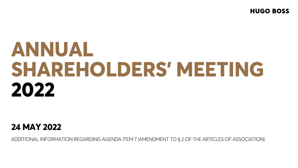**HUGO BOSS** 

# **ANNUAL SHAREHOLDERS' MEETING 2022**

# **24 MAY 2022**

ADDITIONAL INFORMATION REGARDING AGENDA ITEM 7 (AMENDMENT TO § 2 OF THE ARTICLES OF ASSOCIATION)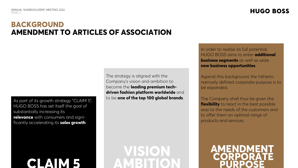# **BACKGROUND AMENDMENT TO ARTICLES OF ASSOCIATION**

As part of its growth strategy "CLAIM 5", HUGO BOSS has set itself the goal of substantially increasing its **relevance** with consumers and significantly accelerating its **sales growth**.

# **CLAIM 5**

The strategy is aligned with the Company's vision and ambition to become the **leading premium techdriven fashion platform worldwide** and to be **one of the top 100 global brands**.

**VISION AMBITION** In order to realise its full potential, HUGO BOSS aims to enter **additional business segments** as well as seize **new business opportunities**.

Against this background, the hitherto narrowly defined corporate purpose is to be expanded.

The Company shall thus be given the **flexibility** to react in the best possible way to the needs of the customers and to offer them an optimal range of products and services.

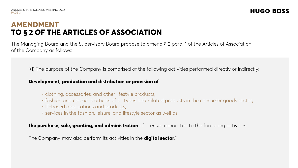# **AMENDMENT TO § 2 OF THE ARTICLES OF ASSOCIATION**

The Managing Board and the Supervisory Board propose to amend § 2 para. 1 of the Articles of Association of the Company as follows:

"(1) The purpose of the Company is comprised of the following activities performed directly or indirectly:

#### **Development, production and distribution or provision of**

- clothing, accessories, and other lifestyle products,
- fashion and cosmetic articles of all types and related products in the consumer goods sector,
- IT-based applications and products,
- services in the fashion, leisure, and lifestyle sector as well as

**the purchase, sale, granting, and administration** of licenses connected to the foregoing activities.

The Company may also perform its activities in the **digital sector**."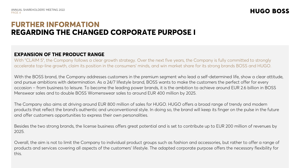### **FURTHER INFORMATION REGARDING THE CHANGED CORPORATE PURPOSE I**

#### **EXPANSION OF THE PRODUCT RANGE**

With "CLAIM 5", the Company follows a clear growth strategy. Over the next five years, the Company is fully committed to strongly accelerate top-line growth, claim its position in the consumers' minds, and win market share for its strong brands BOSS and HUGO.

With the BOSS brand, the Company addresses customers in the premium segment who lead a self-determined life, show a clear attitude, and pursue ambitions with determination. As a 24/7 lifestyle brand, BOSS wants to make the customers the perfect offer for every occasion – from business to leisure. To become the leading power brands, it is the ambition to achieve around EUR 2.6 billion in BOSS Menswear sales and to double BOSS Womenswear sales to around EUR 400 million by 2025.

The Company also aims at driving around EUR 800 million of sales for HUGO. HUGO offers a broad range of trendy and modern products that reflect the brand's authentic and unconventional style. In doing so, the brand will keep its finger on the pulse in the future and offer customers opportunities to express their own personalities.

Besides the two strong brands, the license business offers great potential and is set to contribute up to EUR 200 million of revenues by 2025.

Overall, the aim is not to limit the Company to individual product groups such as fashion and accessories, but rather to offer a range of products and services covering all aspects of the customers' lifestyle. The adapted corporate purpose offers the necessary flexibility for this.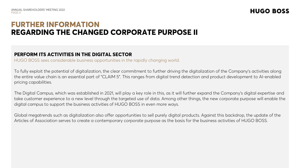# **FURTHER INFORMATION REGARDING THE CHANGED CORPORATE PURPOSE II**

#### **PERFORM ITS ACTIVITIES IN THE DIGITAL SECTOR**

HUGO BOSS sees considerable business opportunities in the rapidly changing world.

To fully exploit the potential of digitalization, the clear commitment to further driving the digitalization of the Company's activities along the entire value chain is an essential part of "CLAIM 5". This ranges from digital trend detection and product development to AI-enabled pricing capabilities.

The Digital Campus, which was established in 2021, will play a key role in this, as it will further expand the Company's digital expertise and take customer experience to a new level through the targeted use of data. Among other things, the new corporate purpose will enable the digital campus to support the business activities of HUGO BOSS in even more ways.

Global megatrends such as digitalization also offer opportunities to sell purely digital products. Against this backdrop, the update of the Articles of Association serves to create a contemporary corporate purpose as the basis for the business activities of HUGO BOSS.